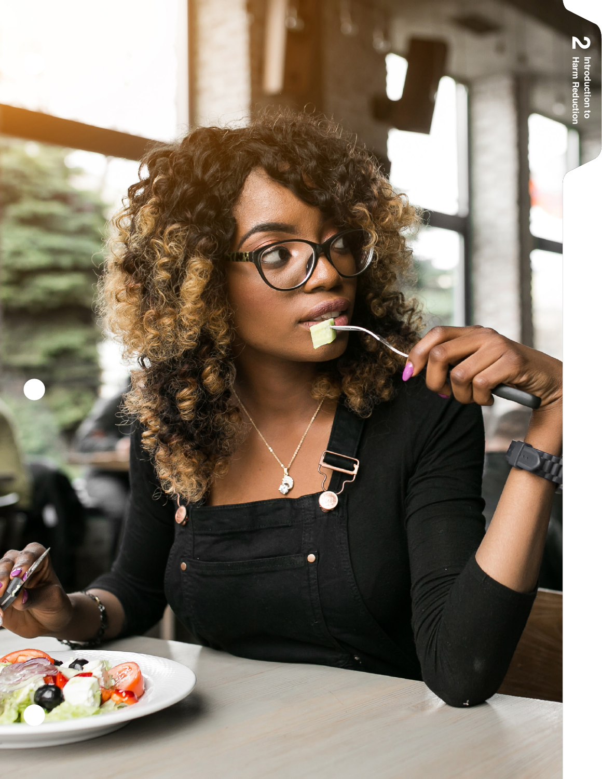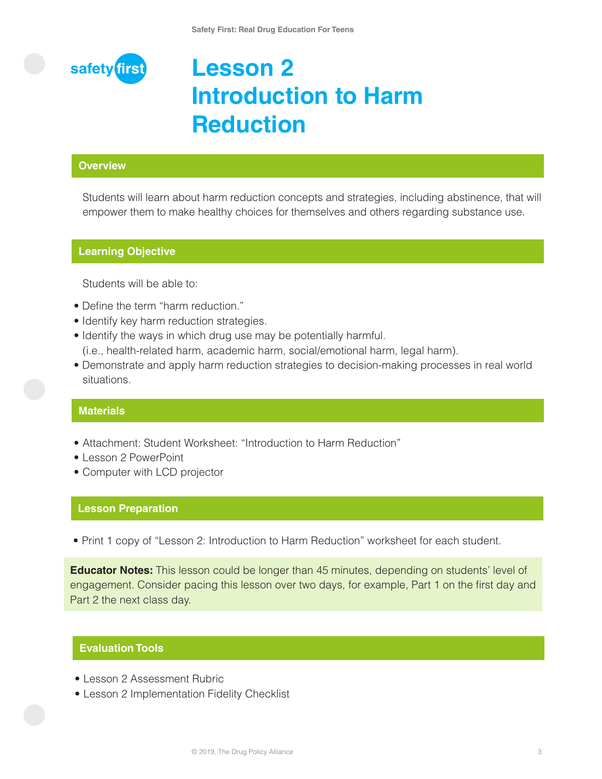

# **Lesson 2 Introduction to Harm Reduction**

#### **Overview**

Students will learn about harm reduction concepts and strategies, including abstinence, that will empower them to make healthy choices for themselves and others regarding substance use.

#### **Learning Objective**

Students will be able to:

- Define the term "harm reduction."
- Identify key harm reduction strategies.
- Identify the ways in which drug use may be potentially harmful. (i.e., health-related harm, academic harm, social/emotional harm, legal harm).
- Demonstrate and apply harm reduction strategies to decision-making processes in real world situations.

#### **Materials**

- Attachment: Student Worksheet: "Introduction to Harm Reduction"
- Lesson 2 PowerPoint
- Computer with LCD projector

#### **Lesson Preparation**

• Print 1 copy of "Lesson 2: Introduction to Harm Reduction" worksheet for each student.

**Educator Notes:** This lesson could be longer than 45 minutes, depending on students' level of engagement. Consider pacing this lesson over two days, for example, Part 1 on the first day and Part 2 the next class day.

#### **Evaluation Tools**

- Lesson 2 Assessment Rubric
- Lesson 2 Implementation Fidelity Checklist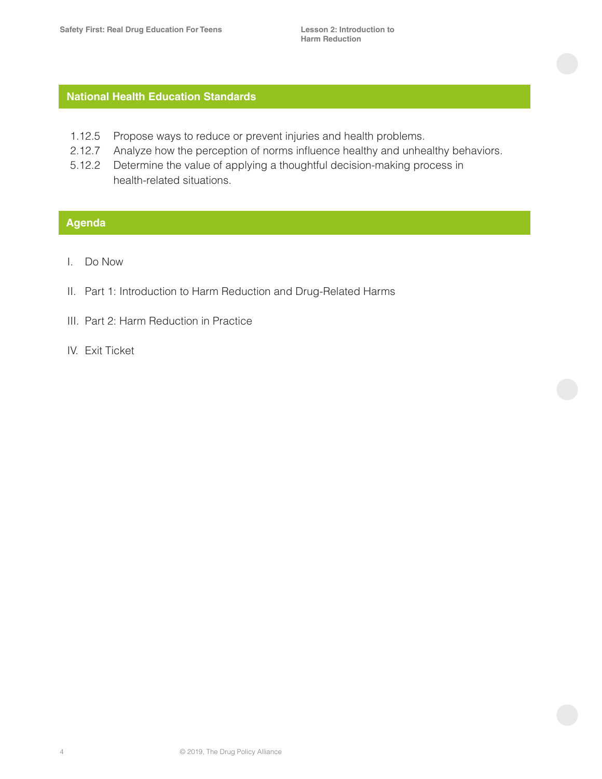#### **National Health Education Standards**

- 1.12.5 Propose ways to reduce or prevent injuries and health problems.
- 2.12.7 Analyze how the perception of norms influence healthy and unhealthy behaviors.
- 5.12.2 Determine the value of applying a thoughtful decision-making process in health-related situations.

# **Agenda**

- I. Do Now
- II. Part 1: Introduction to Harm Reduction and Drug-Related Harms
- III. Part 2: Harm Reduction in Practice
- IV. Exit Ticket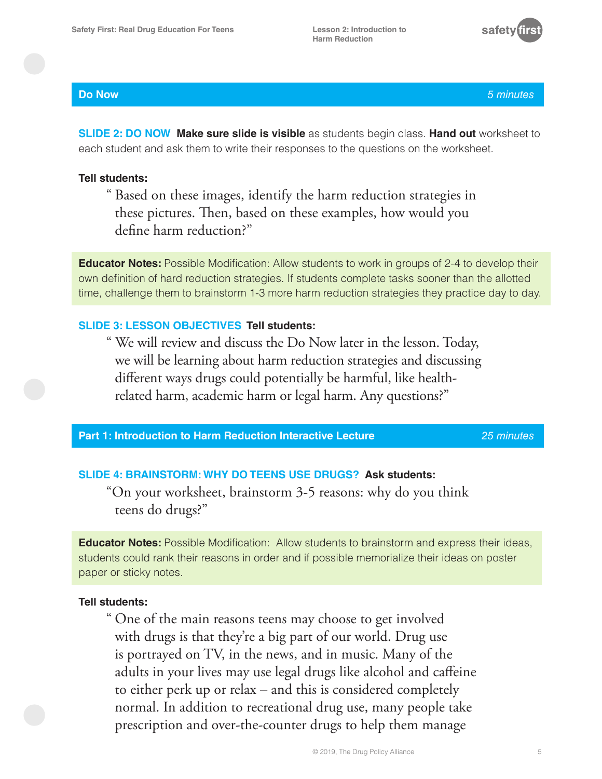

# **Do Now**

*5 minutes*

**SLIDE 2: DO NOW Make sure slide is visible** as students begin class. **Hand out** worksheet to each student and ask them to write their responses to the questions on the worksheet.

# **Tell students:**

" Based on these images, identify the harm reduction strategies in these pictures. Then, based on these examples, how would you define harm reduction?"

**Educator Notes:** Possible Modification: Allow students to work in groups of 2-4 to develop their own definition of hard reduction strategies. If students complete tasks sooner than the allotted time, challenge them to brainstorm 1-3 more harm reduction strategies they practice day to day.

# **SLIDE 3: LESSON OBJECTIVES Tell students:**

" We will review and discuss the Do Now later in the lesson. Today, we will be learning about harm reduction strategies and discussing different ways drugs could potentially be harmful, like healthrelated harm, academic harm or legal harm. Any questions?"

#### **Part 1: Introduction to Harm Reduction Interactive Lecture**

*25 minutes*

#### **SLIDE 4: BRAINSTORM: WHY DO TEENS USE DRUGS? Ask students:**

"On your worksheet, brainstorm 3-5 reasons: why do you think teens do drugs?"

**Educator Notes:** Possible Modification: Allow students to brainstorm and express their ideas, students could rank their reasons in order and if possible memorialize their ideas on poster paper or sticky notes.

#### **Tell students:**

" One of the main reasons teens may choose to get involved with drugs is that they're a big part of our world. Drug use is portrayed on TV, in the news, and in music. Many of the adults in your lives may use legal drugs like alcohol and caffeine to either perk up or relax – and this is considered completely normal. In addition to recreational drug use, many people take prescription and over-the-counter drugs to help them manage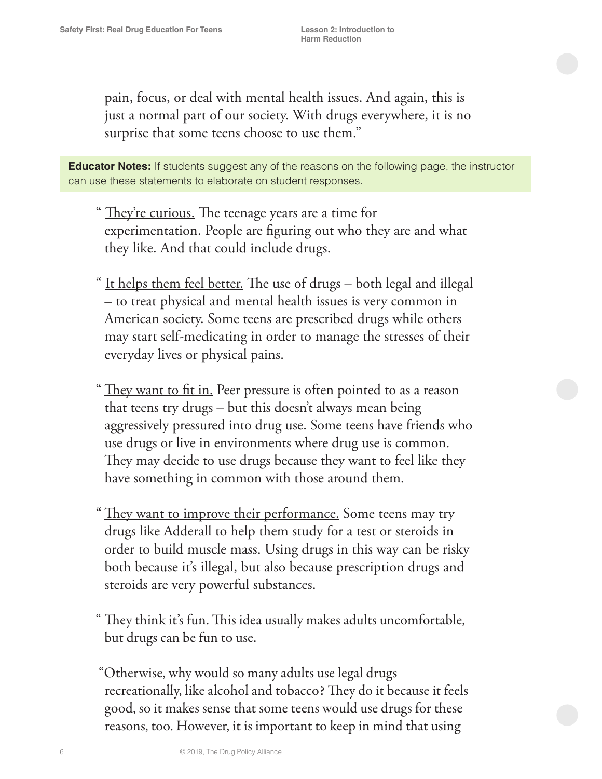pain, focus, or deal with mental health issues. And again, this is just a normal part of our society. With drugs everywhere, it is no surprise that some teens choose to use them."

**Educator Notes:** If students suggest any of the reasons on the following page, the instructor can use these statements to elaborate on student responses.

- They're curious. The teenage years are a time for experimentation. People are figuring out who they are and what they like. And that could include drugs.
- " It helps them feel better. The use of drugs both legal and illegal – to treat physical and mental health issues is very common in American society. Some teens are prescribed drugs while others may start self-medicating in order to manage the stresses of their everyday lives or physical pains.
- They want to fit in. Peer pressure is often pointed to as a reason that teens try drugs – but this doesn't always mean being aggressively pressured into drug use. Some teens have friends who use drugs or live in environments where drug use is common. They may decide to use drugs because they want to feel like they have something in common with those around them.
- They want to improve their performance. Some teens may try drugs like Adderall to help them study for a test or steroids in order to build muscle mass. Using drugs in this way can be risky both because it's illegal, but also because prescription drugs and steroids are very powerful substances.
- They think it's fun. This idea usually makes adults uncomfortable, but drugs can be fun to use.
- "Otherwise, why would so many adults use legal drugs recreationally, like alcohol and tobacco? They do it because it feels good, so it makes sense that some teens would use drugs for these reasons, too. However, it is important to keep in mind that using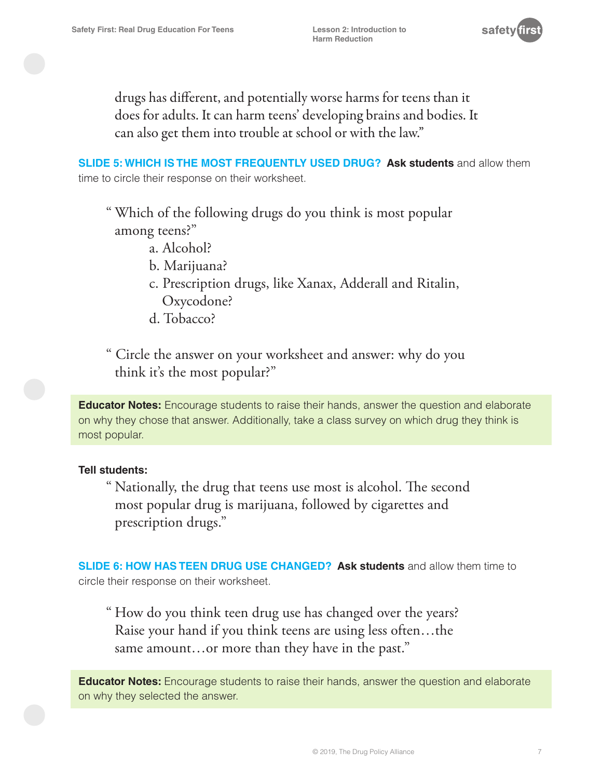

drugs has different, and potentially worse harms for teens than it does for adults. It can harm teens' developing brains and bodies. It can also get them into trouble at school or with the law."

**SLIDE 5: WHICH IS THE MOST FREQUENTLY USED DRUG? Ask students** and allow them time to circle their response on their worksheet.

" Which of the following drugs do you think is most popular among teens?"

- a. Alcohol?
- b. Marijuana?
- c. Prescription drugs, like Xanax, Adderall and Ritalin, Oxycodone?
- d. Tobacco?
- " Circle the answer on your worksheet and answer: why do you think it's the most popular?"

**Educator Notes:** Encourage students to raise their hands, answer the question and elaborate on why they chose that answer. Additionally, take a class survey on which drug they think is most popular.

# **Tell students:**

" Nationally, the drug that teens use most is alcohol. The second most popular drug is marijuana, followed by cigarettes and prescription drugs."

**SLIDE 6: HOW HAS TEEN DRUG USE CHANGED? Ask students** and allow them time to circle their response on their worksheet.

" How do you think teen drug use has changed over the years? Raise your hand if you think teens are using less often…the same amount…or more than they have in the past."

**Educator Notes:** Encourage students to raise their hands, answer the question and elaborate on why they selected the answer.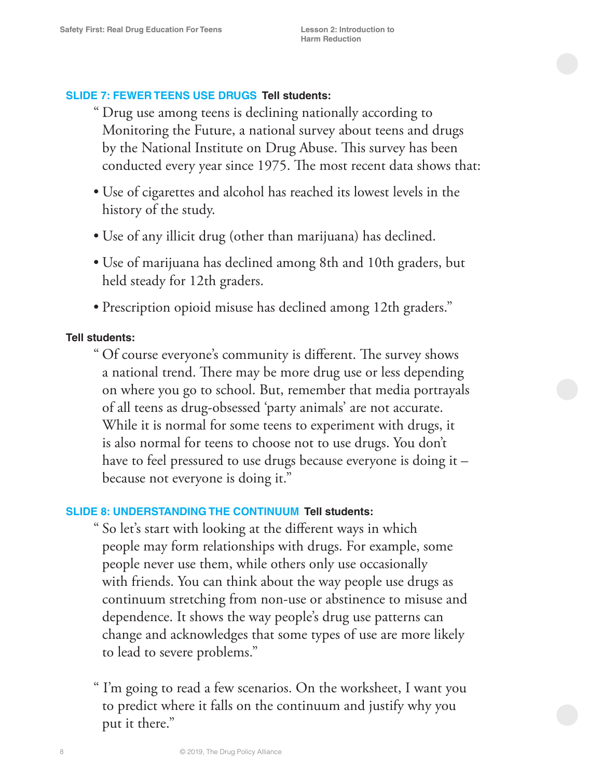#### **SLIDE 7: FEWER TEENS USE DRUGS Tell students:**

- " Drug use among teens is declining nationally according to Monitoring the Future, a national survey about teens and drugs by the National Institute on Drug Abuse. This survey has been conducted every year since 1975. The most recent data shows that:
- Use of cigarettes and alcohol has reached its lowest levels in the history of the study.
- Use of any illicit drug (other than marijuana) has declined.
- Use of marijuana has declined among 8th and 10th graders, but held steady for 12th graders.
- Prescription opioid misuse has declined among 12th graders."

#### **Tell students:**

" Of course everyone's community is different. The survey shows a national trend. There may be more drug use or less depending on where you go to school. But, remember that media portrayals of all teens as drug-obsessed 'party animals' are not accurate. While it is normal for some teens to experiment with drugs, it is also normal for teens to choose not to use drugs. You don't have to feel pressured to use drugs because everyone is doing it – because not everyone is doing it."

#### **SLIDE 8: UNDERSTANDING THE CONTINUUM Tell students:**

- " So let's start with looking at the different ways in which people may form relationships with drugs. For example, some people never use them, while others only use occasionally with friends. You can think about the way people use drugs as continuum stretching from non-use or abstinence to misuse and dependence. It shows the way people's drug use patterns can change and acknowledges that some types of use are more likely to lead to severe problems."
- " I'm going to read a few scenarios. On the worksheet, I want you to predict where it falls on the continuum and justify why you put it there."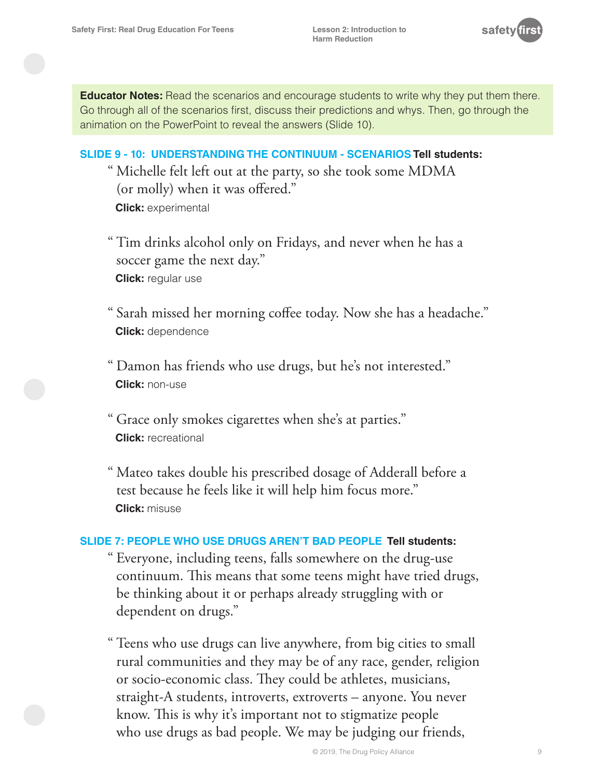

**Educator Notes:** Read the scenarios and encourage students to write why they put them there. Go through all of the scenarios first, discuss their predictions and whys. Then, go through the animation on the PowerPoint to reveal the answers (Slide 10).

# **SLIDE 9 - 10: UNDERSTANDING THE CONTINUUM - SCENARIOS Tell students:**

" Michelle felt left out at the party, so she took some MDMA (or molly) when it was offered." **Click:** experimental

" Tim drinks alcohol only on Fridays, and never when he has a soccer game the next day." **Click:** regular use

" Sarah missed her morning coffee today. Now she has a headache." **Click:** dependence

" Damon has friends who use drugs, but he's not interested." **Click:** non-use

" Grace only smokes cigarettes when she's at parties." **Click:** recreational

" Mateo takes double his prescribed dosage of Adderall before a test because he feels like it will help him focus more." **Click:** misuse

# **SLIDE 7: PEOPLE WHO USE DRUGS AREN'T BAD PEOPLE Tell students:**

" Everyone, including teens, falls somewhere on the drug-use continuum. This means that some teens might have tried drugs, be thinking about it or perhaps already struggling with or dependent on drugs."

" Teens who use drugs can live anywhere, from big cities to small rural communities and they may be of any race, gender, religion or socio-economic class. They could be athletes, musicians, straight-A students, introverts, extroverts – anyone. You never know. This is why it's important not to stigmatize people who use drugs as bad people. We may be judging our friends,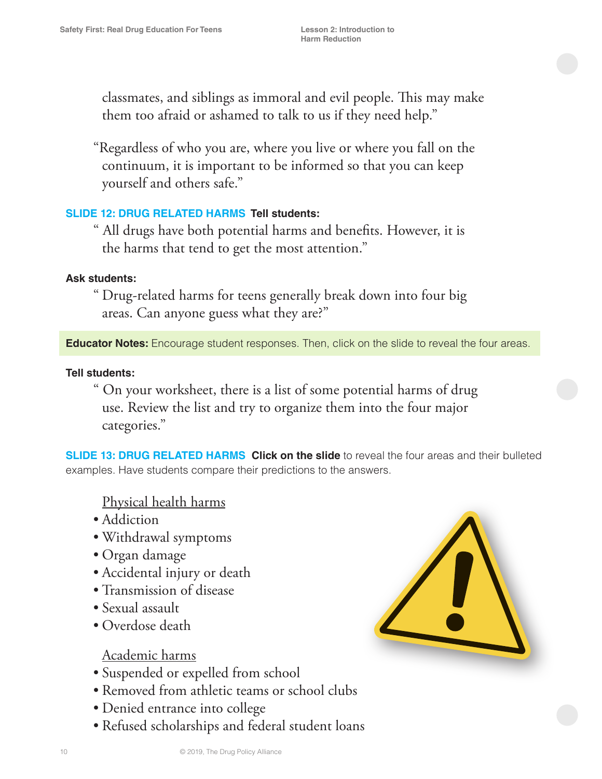classmates, and siblings as immoral and evil people. This may make them too afraid or ashamed to talk to us if they need help."

"Regardless of who you are, where you live or where you fall on the continuum, it is important to be informed so that you can keep yourself and others safe."

# **SLIDE 12: DRUG RELATED HARMS Tell students:**

" All drugs have both potential harms and benefits. However, it is the harms that tend to get the most attention."

# **Ask students:**

" Drug-related harms for teens generally break down into four big areas. Can anyone guess what they are?"

**Educator Notes:** Encourage student responses. Then, click on the slide to reveal the four areas.

# **Tell students:**

" On your worksheet, there is a list of some potential harms of drug use. Review the list and try to organize them into the four major categories."

**SLIDE 13: DRUG RELATED HARMS Click on the slide** to reveal the four areas and their bulleted examples. Have students compare their predictions to the answers.

Physical health harms

- Addiction
- Withdrawal symptoms
- Organ damage
- Accidental injury or death
- Transmission of disease
- Sexual assault
- Overdose death

Academic harms

- Suspended or expelled from school
- Removed from athletic teams or school clubs
- Denied entrance into college
- Refused scholarships and federal student loans

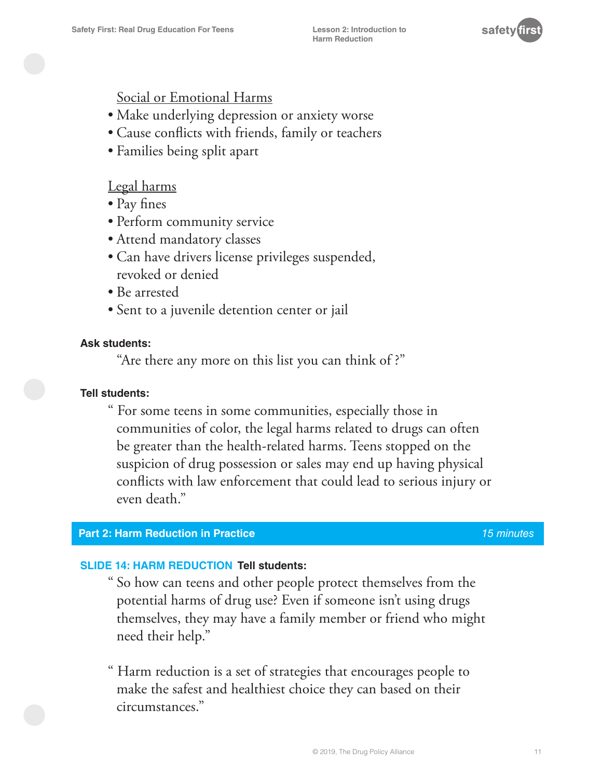

Social or Emotional Harms

- Make underlying depression or anxiety worse
- Cause conflicts with friends, family or teachers
- Families being split apart

# Legal harms

- Pay fines
- Perform community service
- Attend mandatory classes
- Can have drivers license privileges suspended, revoked or denied
- Be arrested
- Sent to a juvenile detention center or jail

# **Ask students:**

"Are there any more on this list you can think of ?"

# **Tell students:**

" For some teens in some communities, especially those in communities of color, the legal harms related to drugs can often be greater than the health-related harms. Teens stopped on the suspicion of drug possession or sales may end up having physical conflicts with law enforcement that could lead to serious injury or even death"

# **Part 2: Harm Reduction in Practice** *15 minutes*

# **SLIDE 14: HARM REDUCTION Tell students:**

" So how can teens and other people protect themselves from the potential harms of drug use? Even if someone isn't using drugs themselves, they may have a family member or friend who might need their help."

" Harm reduction is a set of strategies that encourages people to make the safest and healthiest choice they can based on their circumstances."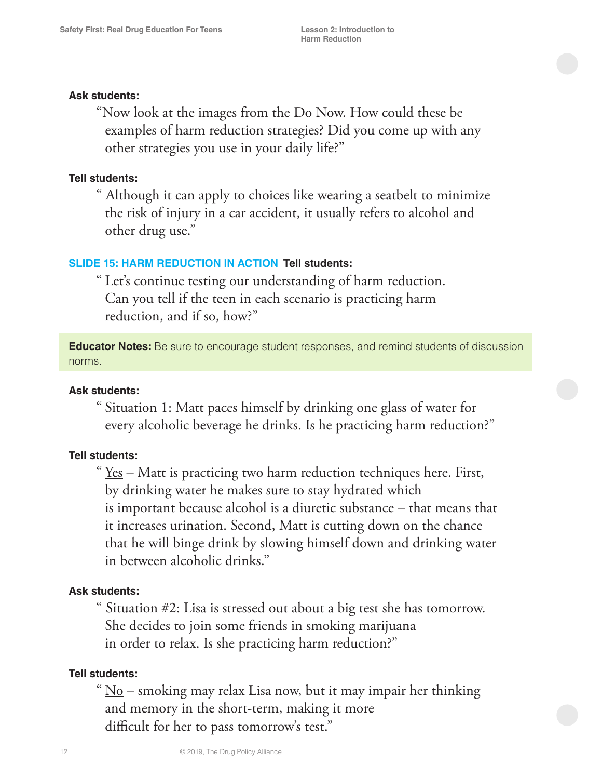#### **Ask students:**

"Now look at the images from the Do Now. How could these be examples of harm reduction strategies? Did you come up with any other strategies you use in your daily life?"

# **Tell students:**

" Although it can apply to choices like wearing a seatbelt to minimize the risk of injury in a car accident, it usually refers to alcohol and other drug use."

# **SLIDE 15: HARM REDUCTION IN ACTION Tell students:**

" Let's continue testing our understanding of harm reduction. Can you tell if the teen in each scenario is practicing harm reduction, and if so, how?"

**Educator Notes:** Be sure to encourage student responses, and remind students of discussion norms.

#### **Ask students:**

" Situation 1: Matt paces himself by drinking one glass of water for every alcoholic beverage he drinks. Is he practicing harm reduction?"

#### **Tell students:**

" <u>Yes</u> – Matt is practicing two harm reduction techniques here. First, by drinking water he makes sure to stay hydrated which is important because alcohol is a diuretic substance – that means that it increases urination. Second, Matt is cutting down on the chance that he will binge drink by slowing himself down and drinking water in between alcoholic drinks."

#### **Ask students:**

" Situation #2: Lisa is stressed out about a big test she has tomorrow. She decides to join some friends in smoking marijuana in order to relax. Is she practicing harm reduction?"

#### **Tell students:**

"  $\underline{No}$  – smoking may relax Lisa now, but it may impair her thinking and memory in the short-term, making it more difficult for her to pass tomorrow's test."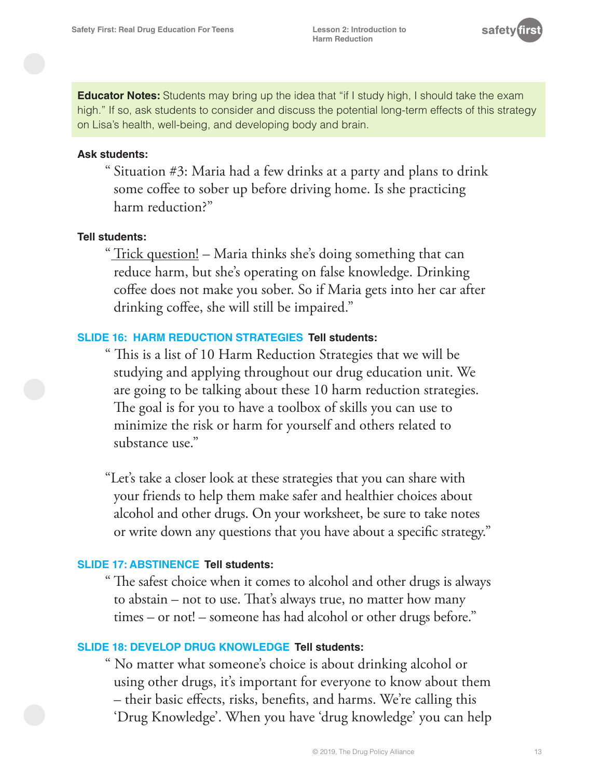

**Educator Notes:** Students may bring up the idea that "if I study high, I should take the exam high." If so, ask students to consider and discuss the potential long-term effects of this strategy on Lisa's health, well-being, and developing body and brain.

#### **Ask students:**

" Situation #3: Maria had a few drinks at a party and plans to drink some coffee to sober up before driving home. Is she practicing harm reduction?"

#### **Tell students:**

"Trick question! - Maria thinks she's doing something that can reduce harm, but she's operating on false knowledge. Drinking coffee does not make you sober. So if Maria gets into her car after drinking coffee, she will still be impaired."

# **SLIDE 16: HARM REDUCTION STRATEGIES Tell students:**

" This is a list of 10 Harm Reduction Strategies that we will be studying and applying throughout our drug education unit. We are going to be talking about these 10 harm reduction strategies. The goal is for you to have a toolbox of skills you can use to minimize the risk or harm for yourself and others related to substance use."

"Let's take a closer look at these strategies that you can share with your friends to help them make safer and healthier choices about alcohol and other drugs. On your worksheet, be sure to take notes or write down any questions that you have about a specific strategy."

# **SLIDE 17: ABSTINENCE Tell students:**

" The safest choice when it comes to alcohol and other drugs is always to abstain – not to use. That's always true, no matter how many times – or not! – someone has had alcohol or other drugs before."

# **SLIDE 18: DEVELOP DRUG KNOWLEDGE Tell students:**

" No matter what someone's choice is about drinking alcohol or using other drugs, it's important for everyone to know about them – their basic effects, risks, benefits, and harms. We're calling this 'Drug Knowledge'. When you have 'drug knowledge' you can help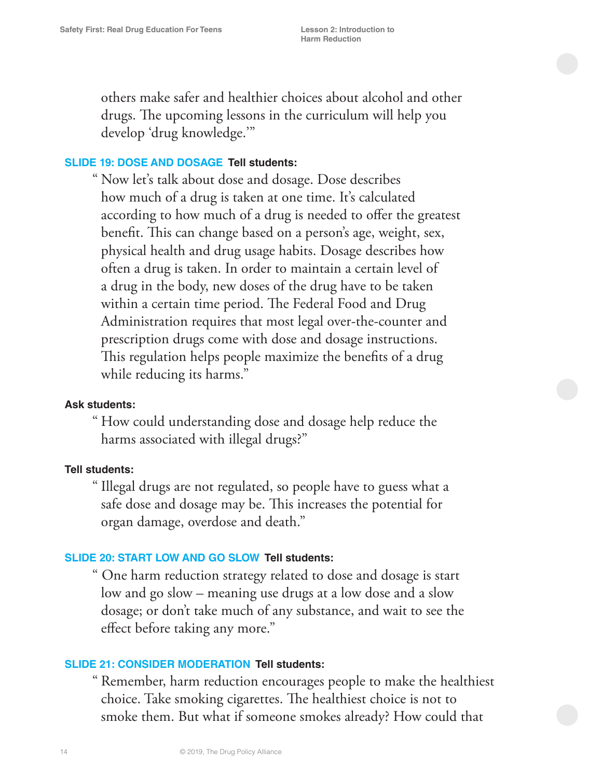others make safer and healthier choices about alcohol and other drugs. The upcoming lessons in the curriculum will help you develop 'drug knowledge.'"

# **SLIDE 19: DOSE AND DOSAGE Tell students:**

" Now let's talk about dose and dosage. Dose describes how much of a drug is taken at one time. It's calculated according to how much of a drug is needed to offer the greatest benefit. This can change based on a person's age, weight, sex, physical health and drug usage habits. Dosage describes how often a drug is taken. In order to maintain a certain level of a drug in the body, new doses of the drug have to be taken within a certain time period. The Federal Food and Drug Administration requires that most legal over-the-counter and prescription drugs come with dose and dosage instructions. This regulation helps people maximize the benefits of a drug while reducing its harms."

#### **Ask students:**

" How could understanding dose and dosage help reduce the harms associated with illegal drugs?"

#### **Tell students:**

" Illegal drugs are not regulated, so people have to guess what a safe dose and dosage may be. This increases the potential for organ damage, overdose and death."

#### **SLIDE 20: START LOW AND GO SLOW Tell students:**

" One harm reduction strategy related to dose and dosage is start low and go slow – meaning use drugs at a low dose and a slow dosage; or don't take much of any substance, and wait to see the effect before taking any more."

# **SLIDE 21: CONSIDER MODERATION Tell students:**

" Remember, harm reduction encourages people to make the healthiest choice. Take smoking cigarettes. The healthiest choice is not to smoke them. But what if someone smokes already? How could that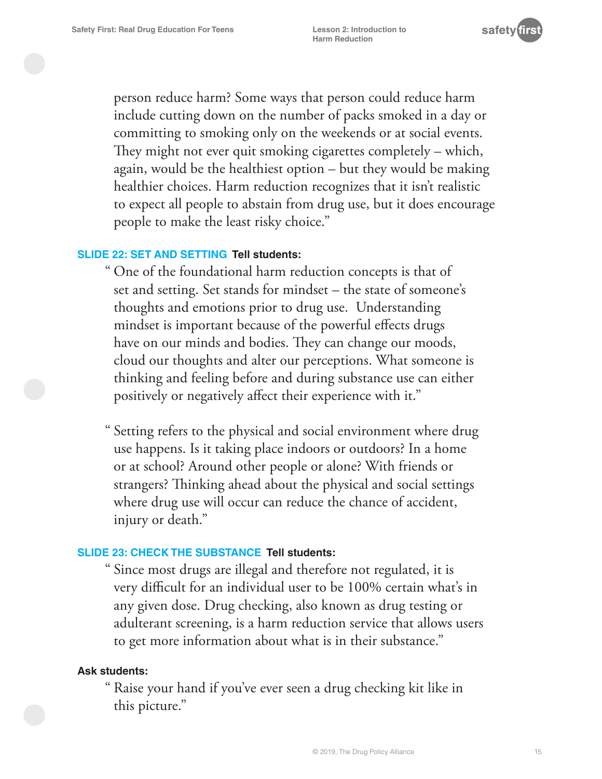

person reduce harm? Some ways that person could reduce harm include cutting down on the number of packs smoked in a day or committing to smoking only on the weekends or at social events. They might not ever quit smoking cigarettes completely – which, again, would be the healthiest option – but they would be making healthier choices. Harm reduction recognizes that it isn't realistic to expect all people to abstain from drug use, but it does encourage people to make the least risky choice."

#### **SLIDE 22: SET AND SETTING Tell students:**

" One of the foundational harm reduction concepts is that of set and setting. Set stands for mindset – the state of someone's thoughts and emotions prior to drug use. Understanding mindset is important because of the powerful effects drugs have on our minds and bodies. They can change our moods, cloud our thoughts and alter our perceptions. What someone is thinking and feeling before and during substance use can either positively or negatively affect their experience with it."

" Setting refers to the physical and social environment where drug use happens. Is it taking place indoors or outdoors? In a home or at school? Around other people or alone? With friends or strangers? Thinking ahead about the physical and social settings where drug use will occur can reduce the chance of accident, injury or death."

# **SLIDE 23: CHECK THE SUBSTANCE Tell students:**

" Since most drugs are illegal and therefore not regulated, it is very difficult for an individual user to be 100% certain what's in any given dose. Drug checking, also known as drug testing or adulterant screening, is a harm reduction service that allows users to get more information about what is in their substance."

#### **Ask students:**

" Raise your hand if you've ever seen a drug checking kit like in this picture."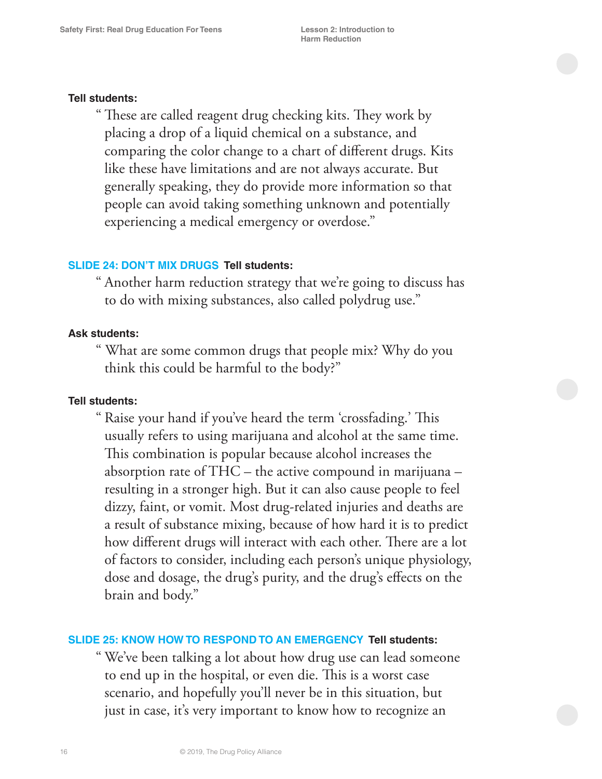#### **Tell students:**

" These are called reagent drug checking kits. They work by placing a drop of a liquid chemical on a substance, and comparing the color change to a chart of different drugs. Kits like these have limitations and are not always accurate. But generally speaking, they do provide more information so that people can avoid taking something unknown and potentially experiencing a medical emergency or overdose."

# **SLIDE 24: DON'T MIX DRUGS Tell students:**

" Another harm reduction strategy that we're going to discuss has to do with mixing substances, also called polydrug use."

#### **Ask students:**

" What are some common drugs that people mix? Why do you think this could be harmful to the body?"

#### **Tell students:**

" Raise your hand if you've heard the term 'crossfading.' This usually refers to using marijuana and alcohol at the same time. This combination is popular because alcohol increases the absorption rate of THC – the active compound in marijuana – resulting in a stronger high. But it can also cause people to feel dizzy, faint, or vomit. Most drug-related injuries and deaths are a result of substance mixing, because of how hard it is to predict how different drugs will interact with each other. There are a lot of factors to consider, including each person's unique physiology, dose and dosage, the drug's purity, and the drug's effects on the brain and body."

# **SLIDE 25: KNOW HOW TO RESPOND TO AN EMERGENCY Tell students:**

" We've been talking a lot about how drug use can lead someone to end up in the hospital, or even die. This is a worst case scenario, and hopefully you'll never be in this situation, but just in case, it's very important to know how to recognize an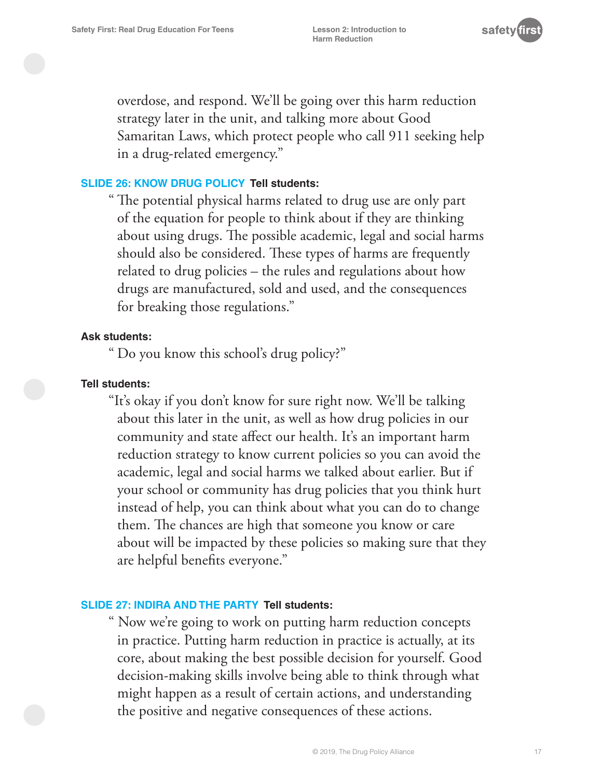

overdose, and respond. We'll be going over this harm reduction strategy later in the unit, and talking more about Good Samaritan Laws, which protect people who call 911 seeking help in a drug-related emergency."

#### **SLIDE 26: KNOW DRUG POLICY Tell students:**

" The potential physical harms related to drug use are only part of the equation for people to think about if they are thinking about using drugs. The possible academic, legal and social harms should also be considered. These types of harms are frequently related to drug policies – the rules and regulations about how drugs are manufactured, sold and used, and the consequences for breaking those regulations."

#### **Ask students:**

" Do you know this school's drug policy?"

#### **Tell students:**

"It's okay if you don't know for sure right now. We'll be talking about this later in the unit, as well as how drug policies in our community and state affect our health. It's an important harm reduction strategy to know current policies so you can avoid the academic, legal and social harms we talked about earlier. But if your school or community has drug policies that you think hurt instead of help, you can think about what you can do to change them. The chances are high that someone you know or care about will be impacted by these policies so making sure that they are helpful benefits everyone."

#### **SLIDE 27: INDIRA AND THE PARTY Tell students:**

" Now we're going to work on putting harm reduction concepts in practice. Putting harm reduction in practice is actually, at its core, about making the best possible decision for yourself. Good decision-making skills involve being able to think through what might happen as a result of certain actions, and understanding the positive and negative consequences of these actions.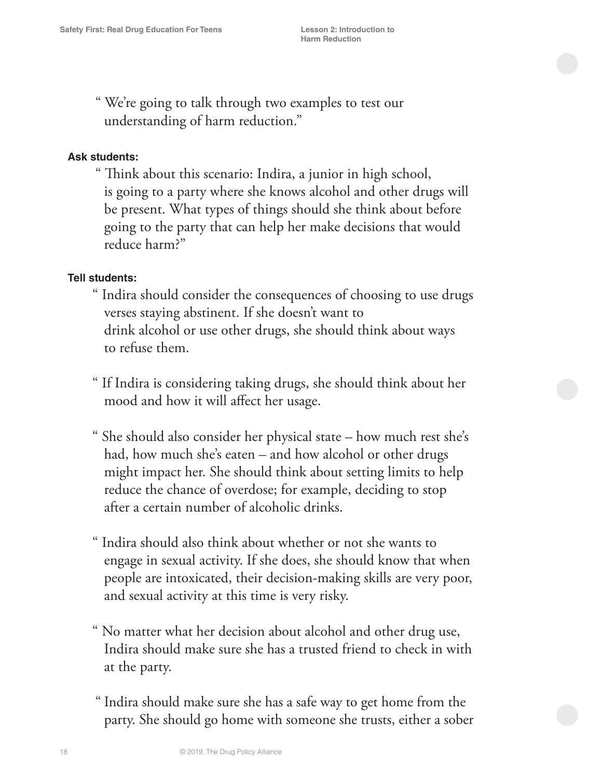" We're going to talk through two examples to test our understanding of harm reduction."

# **Ask students:**

" Think about this scenario: Indira, a junior in high school, is going to a party where she knows alcohol and other drugs will be present. What types of things should she think about before going to the party that can help her make decisions that would reduce harm?"

# **Tell students:**

- " Indira should consider the consequences of choosing to use drugs verses staying abstinent. If she doesn't want to drink alcohol or use other drugs, she should think about ways to refuse them.
- " If Indira is considering taking drugs, she should think about her mood and how it will affect her usage.
- " She should also consider her physical state how much rest she's had, how much she's eaten – and how alcohol or other drugs might impact her. She should think about setting limits to help reduce the chance of overdose; for example, deciding to stop after a certain number of alcoholic drinks.
- " Indira should also think about whether or not she wants to engage in sexual activity. If she does, she should know that when people are intoxicated, their decision-making skills are very poor, and sexual activity at this time is very risky.
- " No matter what her decision about alcohol and other drug use, Indira should make sure she has a trusted friend to check in with at the party.
- " Indira should make sure she has a safe way to get home from the party. She should go home with someone she trusts, either a sober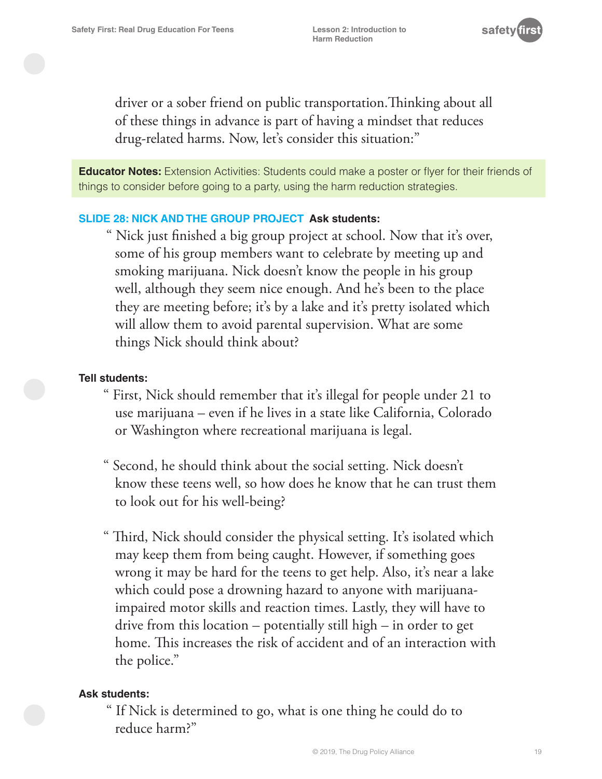

driver or a sober friend on public transportation.Thinking about all of these things in advance is part of having a mindset that reduces drug-related harms. Now, let's consider this situation:"

**Educator Notes:** Extension Activities: Students could make a poster or flyer for their friends of things to consider before going to a party, using the harm reduction strategies.

#### **SLIDE 28: NICK AND THE GROUP PROJECT Ask students:**

" Nick just finished a big group project at school. Now that it's over, some of his group members want to celebrate by meeting up and smoking marijuana. Nick doesn't know the people in his group well, although they seem nice enough. And he's been to the place they are meeting before; it's by a lake and it's pretty isolated which will allow them to avoid parental supervision. What are some things Nick should think about?

#### **Tell students:**

- " First, Nick should remember that it's illegal for people under 21 to use marijuana – even if he lives in a state like California, Colorado or Washington where recreational marijuana is legal.
- " Second, he should think about the social setting. Nick doesn't know these teens well, so how does he know that he can trust them to look out for his well-being?
- " Third, Nick should consider the physical setting. It's isolated which may keep them from being caught. However, if something goes wrong it may be hard for the teens to get help. Also, it's near a lake which could pose a drowning hazard to anyone with marijuanaimpaired motor skills and reaction times. Lastly, they will have to drive from this location – potentially still high – in order to get home. This increases the risk of accident and of an interaction with the police."

#### **Ask students:**

" If Nick is determined to go, what is one thing he could do to reduce harm?"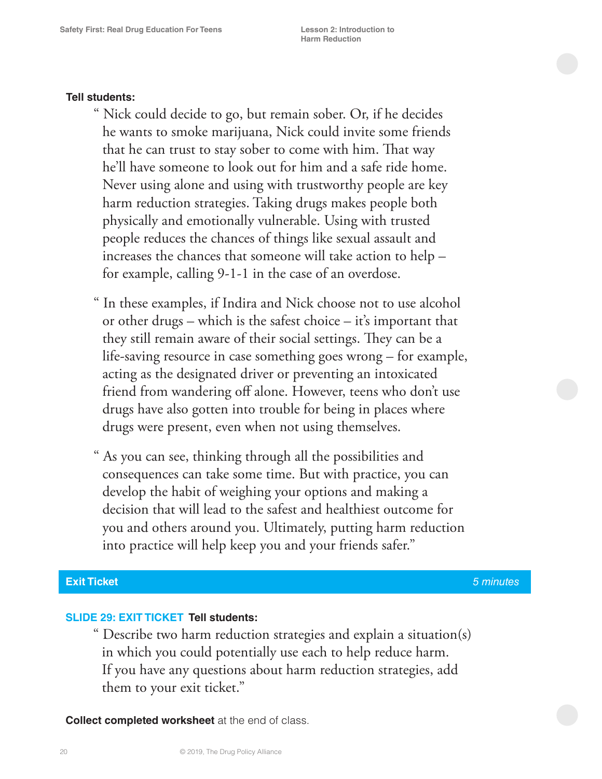#### **Tell students:**

" Nick could decide to go, but remain sober. Or, if he decides he wants to smoke marijuana, Nick could invite some friends that he can trust to stay sober to come with him. That way he'll have someone to look out for him and a safe ride home. Never using alone and using with trustworthy people are key harm reduction strategies. Taking drugs makes people both physically and emotionally vulnerable. Using with trusted people reduces the chances of things like sexual assault and increases the chances that someone will take action to help – for example, calling 9-1-1 in the case of an overdose.

- " In these examples, if Indira and Nick choose not to use alcohol or other drugs – which is the safest choice – it's important that they still remain aware of their social settings. They can be a life-saving resource in case something goes wrong – for example, acting as the designated driver or preventing an intoxicated friend from wandering off alone. However, teens who don't use drugs have also gotten into trouble for being in places where drugs were present, even when not using themselves.
- " As you can see, thinking through all the possibilities and consequences can take some time. But with practice, you can develop the habit of weighing your options and making a decision that will lead to the safest and healthiest outcome for you and others around you. Ultimately, putting harm reduction into practice will help keep you and your friends safer."

#### **Exit Ticket** *5 minutes*

# **SLIDE 29: EXIT TICKET Tell students:**

" Describe two harm reduction strategies and explain a situation(s) in which you could potentially use each to help reduce harm. If you have any questions about harm reduction strategies, add them to your exit ticket."

**Collect completed worksheet** at the end of class.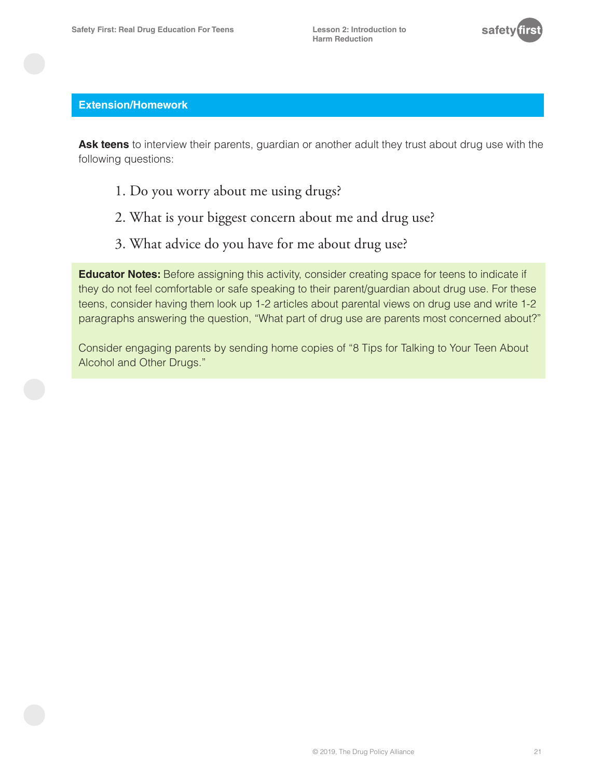

#### **Extension/Homework**

**Ask teens** to interview their parents, guardian or another adult they trust about drug use with the following questions:

- 1. Do you worry about me using drugs?
- 2. What is your biggest concern about me and drug use?
- 3. What advice do you have for me about drug use?

**Educator Notes:** Before assigning this activity, consider creating space for teens to indicate if they do not feel comfortable or safe speaking to their parent/guardian about drug use. For these teens, consider having them look up 1-2 articles about parental views on drug use and write 1-2 paragraphs answering the question, "What part of drug use are parents most concerned about?"

Consider engaging parents by sending home copies of "8 Tips for Talking to Your Teen About Alcohol and Other Drugs."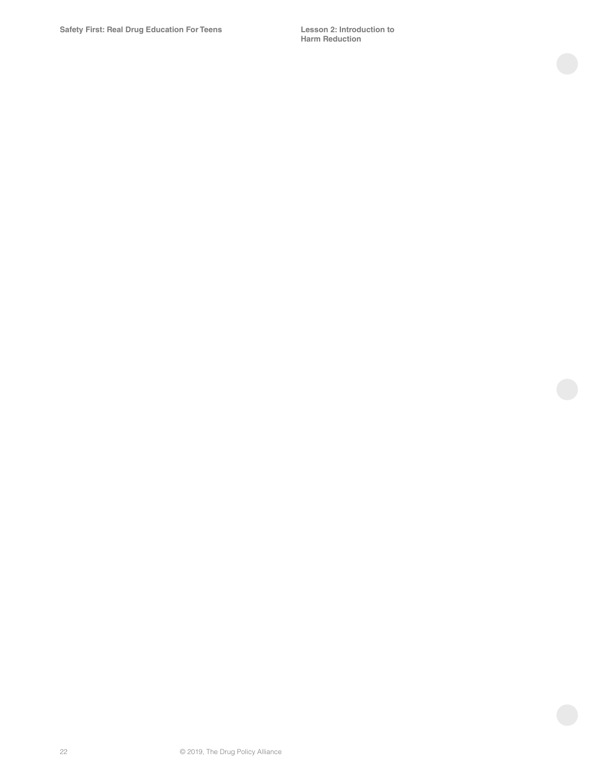**Lesson 2: Introduction to Harm Reduction**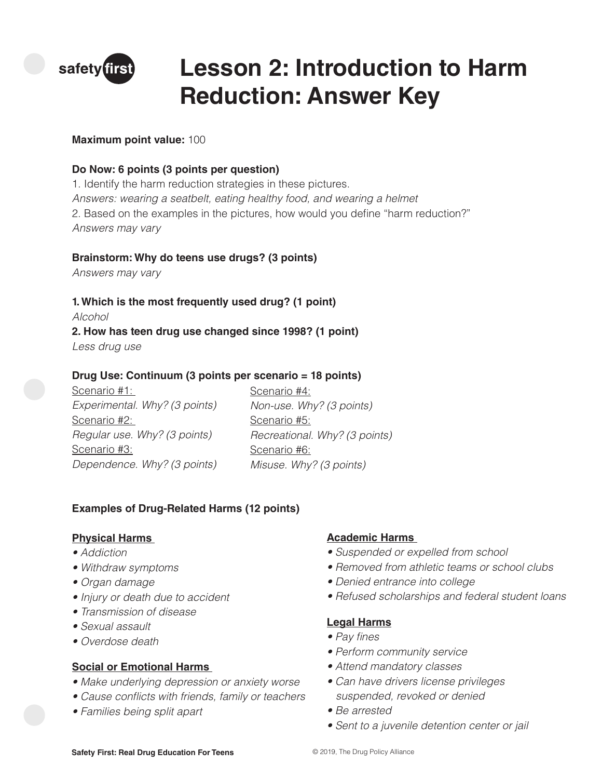

# **Lesson 2: Introduction to Harm Reduction: Answer Key**

**Maximum point value:** 100

# **Do Now: 6 points (3 points per question)**

1. Identify the harm reduction strategies in these pictures. *Answers: wearing a seatbelt, eating healthy food, and wearing a helmet*  2. Based on the examples in the pictures, how would you define "harm reduction?" *Answers may vary*

# **Brainstorm: Why do teens use drugs? (3 points)**

*Answers may vary*

# **1. Which is the most frequently used drug? (1 point)**

*Alcohol* 

# **2. How has teen drug use changed since 1998? (1 point)**

*Less drug use* 

# **Drug Use: Continuum (3 points per scenario = 18 points)**

Scenario #1: *Experimental. Why? (3 points)*  Scenario #2: *Regular use. Why? (3 points)*  Scenario #3: *Dependence. Why? (3 points)* 

Scenario #4: *Non-use. Why? (3 points)*  Scenario #5: *Recreational. Why? (3 points)*  Scenario #6: *Misuse. Why? (3 points)*

# **Examples of Drug-Related Harms (12 points)**

# **Physical Harms**

- *Addiction*
- *Withdraw symptoms*
- *Organ damage*
- *Injury or death due to accident*
- *Transmission of disease*
- *Sexual assault*
- *Overdose death*

#### **Social or Emotional Harms**

- *Make underlying depression or anxiety worse*
- *Cause conflicts with friends, family or teachers*
- *Families being split apart*

#### **Academic Harms**

- *Suspended or expelled from school*
- *Removed from athletic teams or school clubs*
- *Denied entrance into college*
- *Refused scholarships and federal student loans*

# **Legal Harms**

- *Pay fines*
- *Perform community service*
- *Attend mandatory classes*
- *Can have drivers license privileges suspended, revoked or denied*
- *Be arrested*
- *Sent to a juvenile detention center or jail*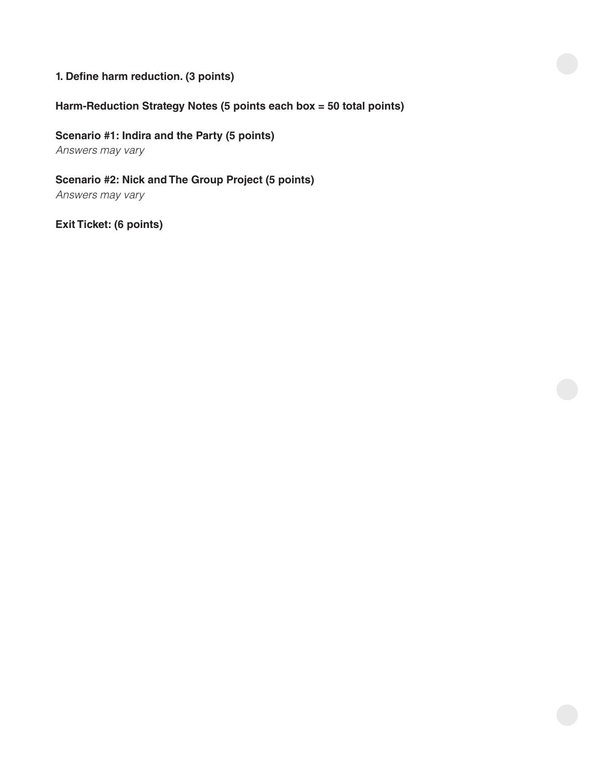# **1. Define harm reduction. (3 points)**

# **Harm-Reduction Strategy Notes (5 points each box = 50 total points)**

# **Scenario #1: Indira and the Party (5 points)**

*Answers may vary*

# **Scenario #2: Nick and The Group Project (5 points)**

*Answers may vary*

# **Exit Ticket: (6 points)**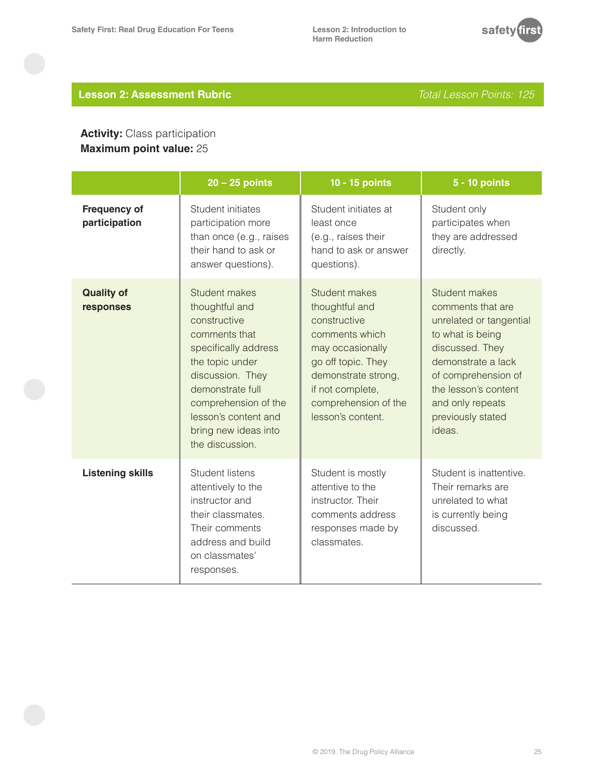

# **Lesson 2: Assessment Rubric** *Total Lesson Points: 125*

# **Activity:** Class participation **Maximum point value:** 25

|                                      | $20 - 25$ points                                                                                                                                                                                                                                      | 10 - 15 points                                                                                                                                                                                             | <b>5 - 10 points</b>                                                                                                                                                                                                         |  |
|--------------------------------------|-------------------------------------------------------------------------------------------------------------------------------------------------------------------------------------------------------------------------------------------------------|------------------------------------------------------------------------------------------------------------------------------------------------------------------------------------------------------------|------------------------------------------------------------------------------------------------------------------------------------------------------------------------------------------------------------------------------|--|
| <b>Frequency of</b><br>participation | <b>Student initiates</b><br>participation more<br>than once (e.g., raises<br>their hand to ask or<br>answer questions).                                                                                                                               | Student initiates at<br>least once<br>(e.g., raises their<br>hand to ask or answer<br>questions).                                                                                                          | Student only<br>participates when<br>they are addressed<br>directly.                                                                                                                                                         |  |
| <b>Quality of</b><br>responses       | <b>Student makes</b><br>thoughtful and<br>constructive<br>comments that<br>specifically address<br>the topic under<br>discussion. They<br>demonstrate full<br>comprehension of the<br>lesson's content and<br>bring new ideas into<br>the discussion. | <b>Student makes</b><br>thoughtful and<br>constructive<br>comments which<br>may occasionally<br>go off topic. They<br>demonstrate strong,<br>if not complete,<br>comprehension of the<br>lesson's content. | Student makes<br>comments that are<br>unrelated or tangential<br>to what is being<br>discussed. They<br>demonstrate a lack<br>of comprehension of<br>the lesson's content<br>and only repeats<br>previously stated<br>ideas. |  |
| <b>Listening skills</b>              | <b>Student listens</b><br>attentively to the<br>instructor and<br>their classmates.<br>Their comments<br>address and build<br>on classmates'<br>responses.                                                                                            | Student is mostly<br>attentive to the<br>instructor. Their<br>comments address<br>responses made by<br>classmates.                                                                                         | Student is inattentive.<br>Their remarks are<br>unrelated to what<br>is currently being<br>discussed.                                                                                                                        |  |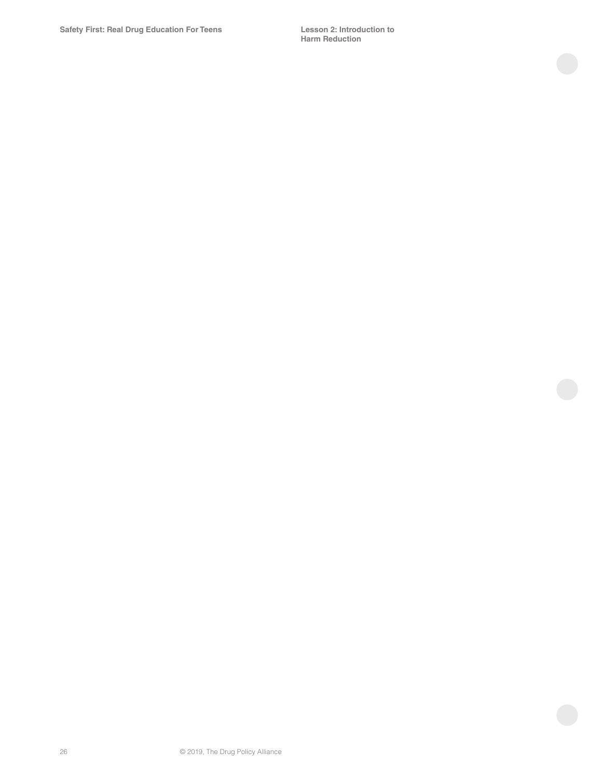**Lesson 2: Introduction to Harm Reduction**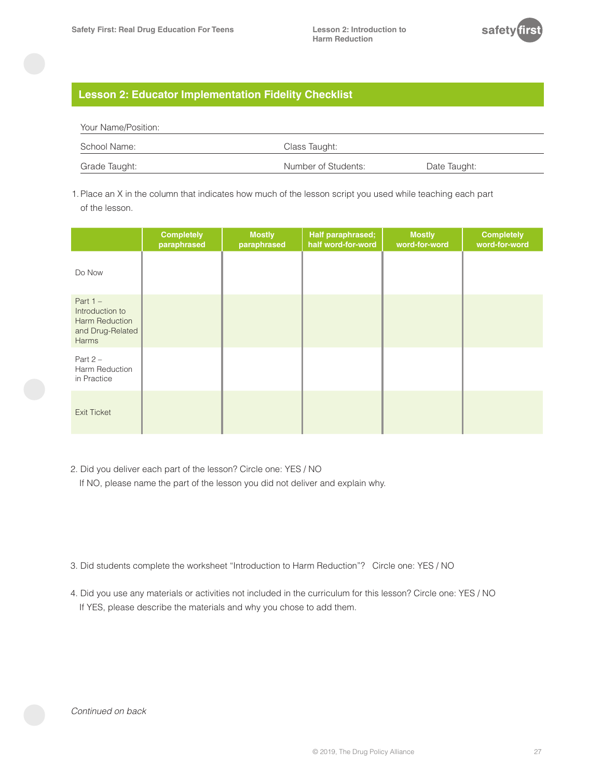

#### **Lesson 2: Educator Implementation Fidelity Checklist**

| Your Name/Position: |                     |              |
|---------------------|---------------------|--------------|
| School Name:        | Class Taught:       |              |
| Grade Taught:       | Number of Students: | Date Taught: |

1. Place an X in the column that indicates how much of the lesson script you used while teaching each part of the lesson.

|                                                                                            | <b>Completely</b><br>paraphrased | <b>Mostly</b><br>paraphrased | Half paraphrased;<br>half word-for-word | <b>Mostly</b><br>word-for-word | <b>Completely</b><br>word-for-word |
|--------------------------------------------------------------------------------------------|----------------------------------|------------------------------|-----------------------------------------|--------------------------------|------------------------------------|
| Do Now                                                                                     |                                  |                              |                                         |                                |                                    |
| Part $1 -$<br>Introduction to<br><b>Harm Reduction</b><br>and Drug-Related<br><b>Harms</b> |                                  |                              |                                         |                                |                                    |
| Part $2 -$<br>Harm Reduction<br>in Practice                                                |                                  |                              |                                         |                                |                                    |
| <b>Exit Ticket</b>                                                                         |                                  |                              |                                         |                                |                                    |

- 2. Did you deliver each part of the lesson? Circle one: YES / NO
	- If NO, please name the part of the lesson you did not deliver and explain why.
- 3. Did students complete the worksheet "Introduction to Harm Reduction"? Circle one: YES / NO
- 4. Did you use any materials or activities not included in the curriculum for this lesson? Circle one: YES / NO If YES, please describe the materials and why you chose to add them.